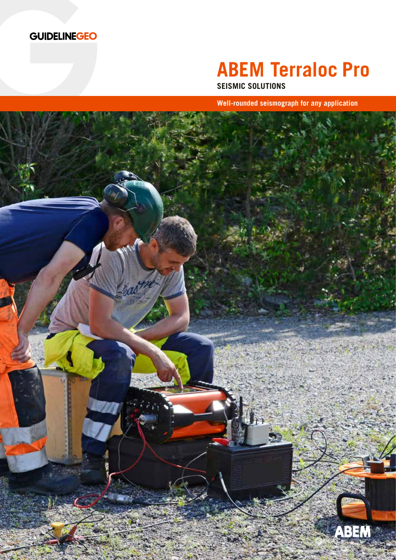

# **ABEM Terraloc Pro**

**SEISMIC SOLUTIONS**

**Well-rounded seismograph for any application**

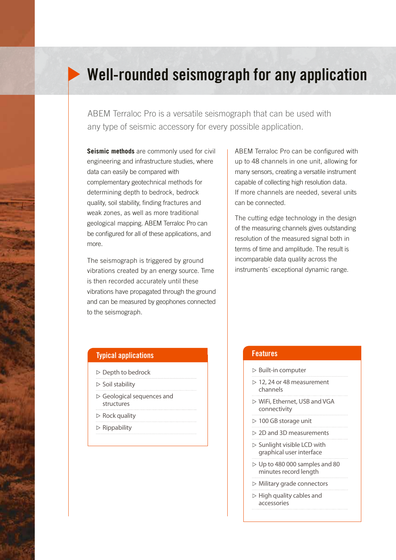## Well-rounded seismograph for any application

ABEM Terraloc Pro is a versatile seismograph that can be used with any type of seismic accessory for every possible application.

**Seismic methods** are commonly used for civil engineering and infrastructure studies, where data can easily be compared with complementary geotechnical methods for determining depth to bedrock, bedrock quality, soil stability, finding fractures and weak zones, as well as more traditional geological mapping. ABEM Terraloc Pro can be configured for all of these applications, and more.

The seismograph is triggered by ground vibrations created by an energy source. Time is then recorded accurately until these vibrations have propagated through the ground and can be measured by geophones connected to the seismograph.

### ABEM Terraloc Pro can be configured with up to 48 channels in one unit, allowing for many sensors, creating a versatile instrument capable of collecting high resolution data. If more channels are needed, several units can be connected.

The cutting edge technology in the design of the measuring channels gives outstanding resolution of the measured signal both in terms of time and amplitude. The result is incomparable data quality across the instruments´ exceptional dynamic range.

### Typical applications

- $\triangleright$  Depth to bedrock
- $\triangleright$  Soil stability
- Geological sequences and structures
- $\triangleright$  Rock quality
- $\triangleright$  Rippability

### **Features**

- $\triangleright$  Built-in computer
- $> 12$ , 24 or 48 measurement channels
- WiFi, Ethernet, USB and VGA connectivity
- $> 100$  GB storage unit
- $\triangleright$  2D and 3D measurements
- $\triangleright$  Sunlight visible LCD with graphical user interface
- $\triangleright$  Up to 480 000 samples and 80 minutes record length
- $\triangleright$  Military grade connectors
- $\triangleright$  High quality cables and accessories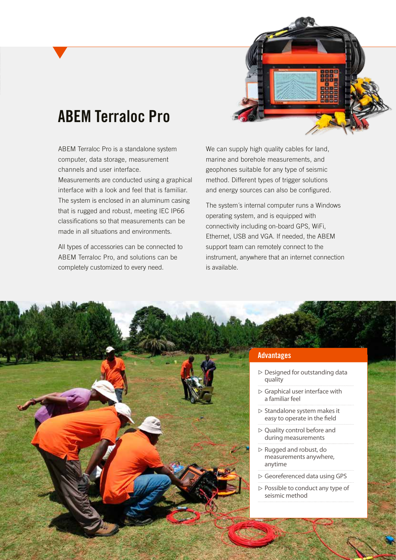# ABEM Terraloc Pro

ABEM Terraloc Pro is a standalone system computer, data storage, measurement channels and user interface.

Measurements are conducted using a graphical interface with a look and feel that is familiar. The system is enclosed in an aluminum casing that is rugged and robust, meeting IEC IP66 classifications so that measurements can be made in all situations and environments.

All types of accessories can be connected to ABEM Terraloc Pro, and solutions can be completely customized to every need.

We can supply high quality cables for land, marine and borehole measurements, and geophones suitable for any type of seismic method. Different types of trigger solutions and energy sources can also be configured.

The system´s internal computer runs a Windows operating system, and is equipped with connectivity including on-board GPS, WiFi, Ethernet, USB and VGA. If needed, the ABEM support team can remotely connect to the instrument, anywhere that an internet connection is available.

### **Advantages**

- $\triangleright$  Designed for outstanding data quality
- $\triangleright$  Graphical user interface with a familiar feel
- $\triangleright$  Standalone system makes it easy to operate in the field
- $\triangleright$  Quality control before and during measurements
- $\triangleright$  Rugged and robust, do measurements anywhere, anytime
- Georeferenced data using GPS
- $\triangleright$  Possible to conduct any type of seismic method